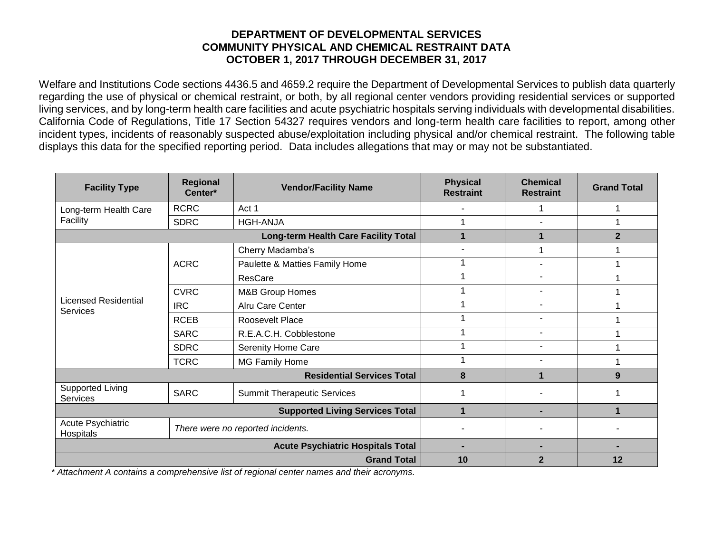## **DEPARTMENT OF DEVELOPMENTAL SERVICES COMMUNITY PHYSICAL AND CHEMICAL RESTRAINT DATA OCTOBER 1, 2017 THROUGH DECEMBER 31, 2017**

Welfare and Institutions Code sections 4436.5 and 4659.2 require the Department of Developmental Services to publish data quarterly regarding the use of physical or chemical restraint, or both, by all regional center vendors providing residential services or supported living services, and by long-term health care facilities and acute psychiatric hospitals serving individuals with developmental disabilities. California Code of Regulations, Title 17 Section 54327 requires vendors and long-term health care facilities to report, among other incident types, incidents of reasonably suspected abuse/exploitation including physical and/or chemical restraint. The following table displays this data for the specified reporting period. Data includes allegations that may or may not be substantiated.

| <b>Facility Type</b>                           | <b>Regional</b><br>Center*        | <b>Vendor/Facility Name</b>        | <b>Physical</b><br><b>Restraint</b> | <b>Chemical</b><br><b>Restraint</b> | <b>Grand Total</b> |
|------------------------------------------------|-----------------------------------|------------------------------------|-------------------------------------|-------------------------------------|--------------------|
| Long-term Health Care<br>Facility              | <b>RCRC</b>                       | Act 1                              |                                     | 1                                   |                    |
|                                                | <b>SDRC</b>                       | <b>HGH-ANJA</b>                    |                                     | $\blacksquare$                      |                    |
|                                                | 1                                 |                                    | $\overline{2}$                      |                                     |                    |
| <b>Licensed Residential</b><br><b>Services</b> | <b>ACRC</b>                       | Cherry Madamba's                   | $\overline{\phantom{a}}$            |                                     |                    |
|                                                |                                   | Paulette & Matties Family Home     | и                                   |                                     |                    |
|                                                |                                   | ResCare                            |                                     | $\overline{\phantom{0}}$            |                    |
|                                                | <b>CVRC</b>                       | M&B Group Homes                    | и                                   | $\blacksquare$                      |                    |
|                                                | <b>IRC</b>                        | Alru Care Center                   |                                     | $\blacksquare$                      |                    |
|                                                | <b>RCEB</b>                       | Roosevelt Place                    |                                     | $\overline{\phantom{a}}$            |                    |
|                                                | <b>SARC</b>                       | R.E.A.C.H. Cobblestone             |                                     | $\blacksquare$                      |                    |
|                                                | <b>SDRC</b>                       | Serenity Home Care                 |                                     |                                     |                    |
|                                                | <b>TCRC</b>                       | MG Family Home                     |                                     |                                     |                    |
|                                                | 8                                 |                                    | 9                                   |                                     |                    |
| <b>Supported Living</b><br><b>Services</b>     | <b>SARC</b>                       | <b>Summit Therapeutic Services</b> |                                     |                                     |                    |
|                                                | 1                                 | -                                  |                                     |                                     |                    |
| Acute Psychiatric<br>Hospitals                 | There were no reported incidents. |                                    |                                     |                                     |                    |
|                                                |                                   |                                    |                                     |                                     |                    |
|                                                | 10                                | $\mathbf{2}$                       | 12                                  |                                     |                    |

*\* Attachment A contains a comprehensive list of regional center names and their acronyms.*